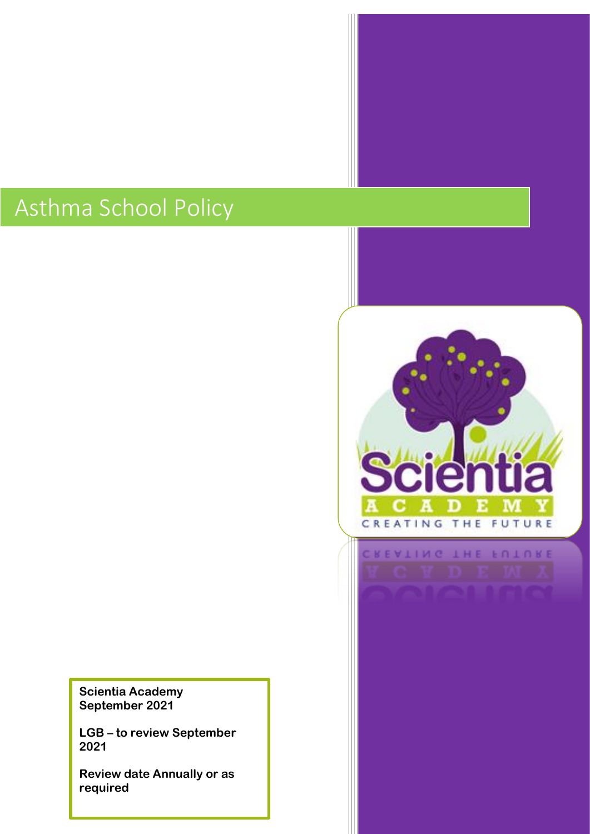# Asthma School Policy

**Scientia Academy September 2021**

**LGB – to review September 2021**

**Review date Annually or as required**

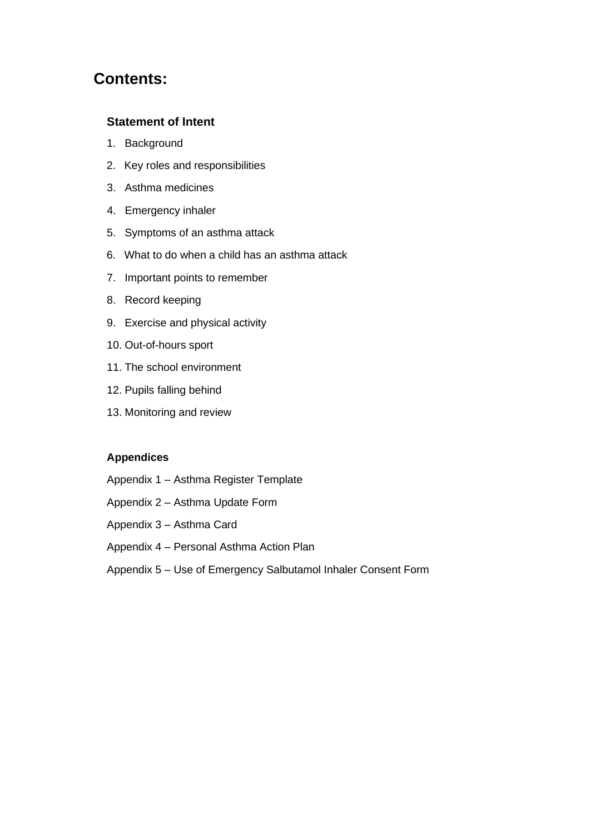## **Contents:**

#### **Statement of Intent**

- 1. Background
- 2. Key roles and responsibilities
- 3. Asthma medicines
- 4. Emergency inhaler
- 5. Symptoms of an asthma attack
- 6. What to do when a child has an asthma attack
- 7. Important points to remember
- 8. Record keeping
- 9. Exercise and physical activity
- 10. Out-of-hours sport
- 11. The school environment
- 12. Pupils falling behind
- 13. Monitoring and review

#### **Appendices**

- Appendix 1 Asthma Register Template
- Appendix 2 Asthma Update Form
- Appendix 3 Asthma Card
- Appendix 4 Personal Asthma Action Plan
- Appendix 5 Use of Emergency Salbutamol Inhaler Consent Form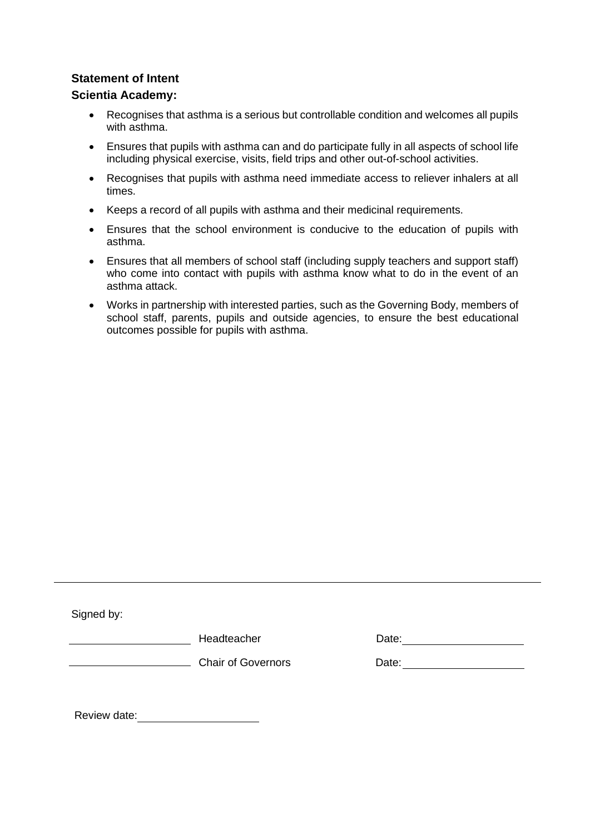#### **Statement of Intent**

#### **Scientia Academy:**

- Recognises that asthma is a serious but controllable condition and welcomes all pupils with asthma.
- Ensures that pupils with asthma can and do participate fully in all aspects of school life including physical exercise, visits, field trips and other out-of-school activities.
- Recognises that pupils with asthma need immediate access to reliever inhalers at all times.
- Keeps a record of all pupils with asthma and their medicinal requirements.
- Ensures that the school environment is conducive to the education of pupils with asthma.
- Ensures that all members of school staff (including supply teachers and support staff) who come into contact with pupils with asthma know what to do in the event of an asthma attack.
- Works in partnership with interested parties, such as the Governing Body, members of school staff, parents, pupils and outside agencies, to ensure the best educational outcomes possible for pupils with asthma.

Signed by:

Headteacher

| רe' ∩ate |  |  |  |
|----------|--|--|--|
|          |  |  |  |

**Chair of Governors** Date:

Review date: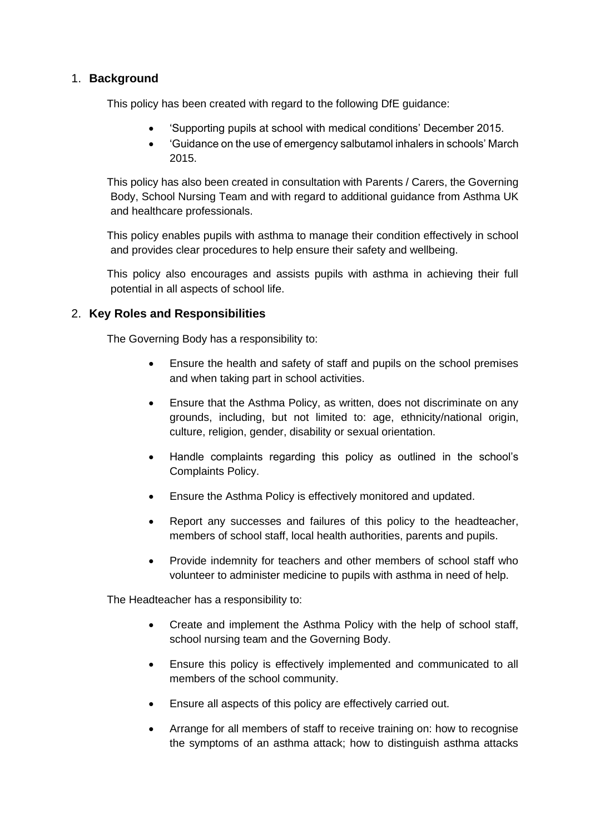#### 1. **Background**

This policy has been created with regard to the following DfE guidance:

- 'Supporting pupils at school with medical conditions' December 2015.
- 'Guidance on the use of emergency salbutamol inhalers in schools' March 2015.

This policy has also been created in consultation with Parents / Carers, the Governing Body, School Nursing Team and with regard to additional guidance from Asthma UK and healthcare professionals.

This policy enables pupils with asthma to manage their condition effectively in school and provides clear procedures to help ensure their safety and wellbeing.

This policy also encourages and assists pupils with asthma in achieving their full potential in all aspects of school life.

#### 2. **Key Roles and Responsibilities**

The Governing Body has a responsibility to:

- Ensure the health and safety of staff and pupils on the school premises and when taking part in school activities.
- Ensure that the Asthma Policy, as written, does not discriminate on any grounds, including, but not limited to: age, ethnicity/national origin, culture, religion, gender, disability or sexual orientation.
- Handle complaints regarding this policy as outlined in the school's Complaints Policy.
- Ensure the Asthma Policy is effectively monitored and updated.
- Report any successes and failures of this policy to the headteacher, members of school staff, local health authorities, parents and pupils.
- Provide indemnity for teachers and other members of school staff who volunteer to administer medicine to pupils with asthma in need of help.

The Headteacher has a responsibility to:

- Create and implement the Asthma Policy with the help of school staff, school nursing team and the Governing Body.
- Ensure this policy is effectively implemented and communicated to all members of the school community.
- Ensure all aspects of this policy are effectively carried out.
- Arrange for all members of staff to receive training on: how to recognise the symptoms of an asthma attack; how to distinguish asthma attacks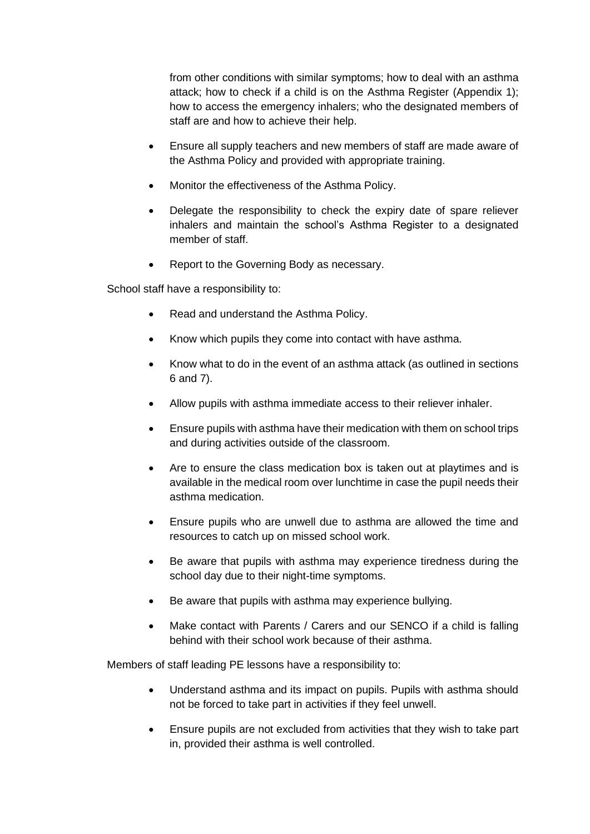from other conditions with similar symptoms; how to deal with an asthma attack; how to check if a child is on the Asthma Register (Appendix 1); how to access the emergency inhalers; who the designated members of staff are and how to achieve their help.

- Ensure all supply teachers and new members of staff are made aware of the Asthma Policy and provided with appropriate training.
- Monitor the effectiveness of the Asthma Policy.
- Delegate the responsibility to check the expiry date of spare reliever inhalers and maintain the school's Asthma Register to a designated member of staff.
- Report to the Governing Body as necessary.

School staff have a responsibility to:

- Read and understand the Asthma Policy.
- Know which pupils they come into contact with have asthma.
- Know what to do in the event of an asthma attack (as outlined in sections 6 and 7).
- Allow pupils with asthma immediate access to their reliever inhaler.
- Ensure pupils with asthma have their medication with them on school trips and during activities outside of the classroom.
- Are to ensure the class medication box is taken out at playtimes and is available in the medical room over lunchtime in case the pupil needs their asthma medication.
- Ensure pupils who are unwell due to asthma are allowed the time and resources to catch up on missed school work.
- Be aware that pupils with asthma may experience tiredness during the school day due to their night-time symptoms.
- Be aware that pupils with asthma may experience bullying.
- Make contact with Parents / Carers and our SENCO if a child is falling behind with their school work because of their asthma.

Members of staff leading PE lessons have a responsibility to:

- Understand asthma and its impact on pupils. Pupils with asthma should not be forced to take part in activities if they feel unwell.
- Ensure pupils are not excluded from activities that they wish to take part in, provided their asthma is well controlled.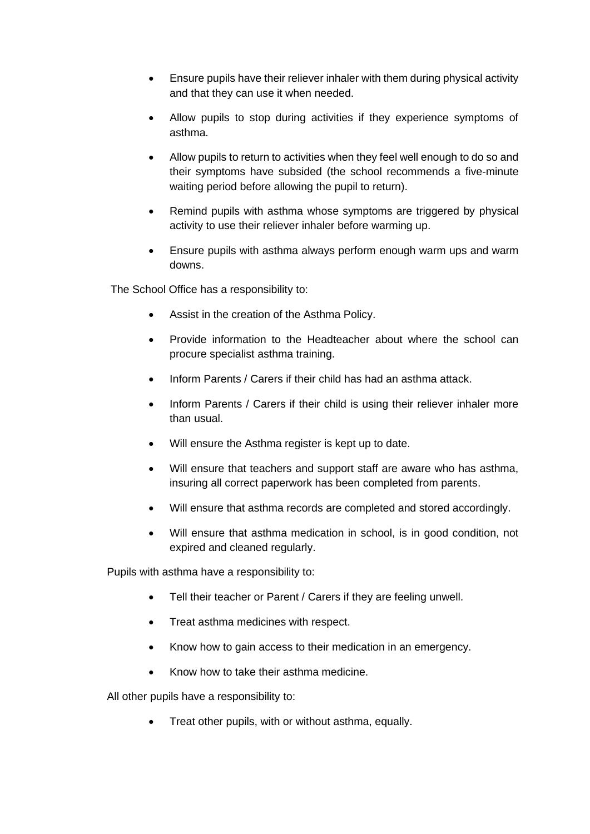- Ensure pupils have their reliever inhaler with them during physical activity and that they can use it when needed.
- Allow pupils to stop during activities if they experience symptoms of asthma.
- Allow pupils to return to activities when they feel well enough to do so and their symptoms have subsided (the school recommends a five-minute waiting period before allowing the pupil to return).
- Remind pupils with asthma whose symptoms are triggered by physical activity to use their reliever inhaler before warming up.
- Ensure pupils with asthma always perform enough warm ups and warm downs.

The School Office has a responsibility to:

- Assist in the creation of the Asthma Policy.
- Provide information to the Headteacher about where the school can procure specialist asthma training.
- Inform Parents / Carers if their child has had an asthma attack.
- Inform Parents / Carers if their child is using their reliever inhaler more than usual.
- Will ensure the Asthma register is kept up to date.
- Will ensure that teachers and support staff are aware who has asthma, insuring all correct paperwork has been completed from parents.
- Will ensure that asthma records are completed and stored accordingly.
- Will ensure that asthma medication in school, is in good condition, not expired and cleaned regularly.

Pupils with asthma have a responsibility to:

- Tell their teacher or Parent / Carers if they are feeling unwell.
- Treat asthma medicines with respect.
- Know how to gain access to their medication in an emergency.
- Know how to take their asthma medicine.

All other pupils have a responsibility to:

• Treat other pupils, with or without asthma, equally.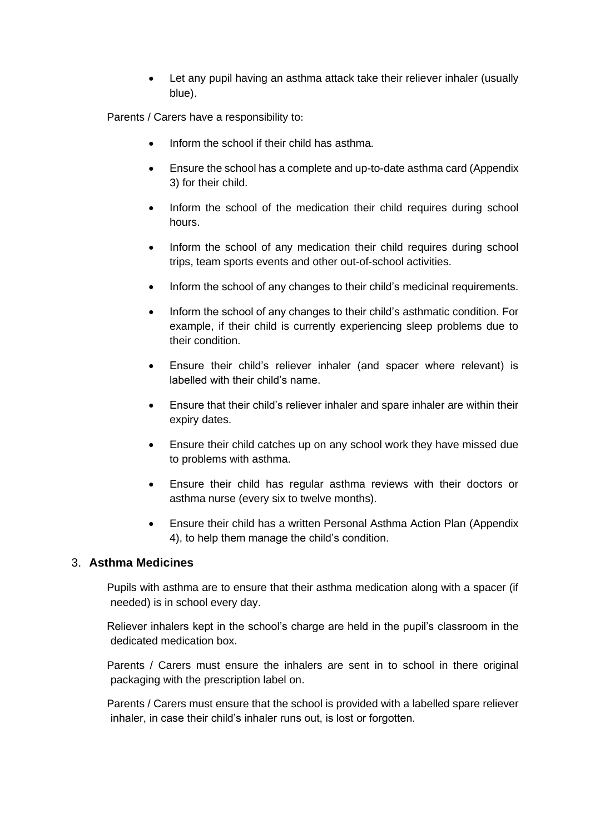Let any pupil having an asthma attack take their reliever inhaler (usually blue).

Parents / Carers have a responsibility to:

- Inform the school if their child has asthma.
- Ensure the school has a complete and up-to-date asthma card (Appendix 3) for their child.
- Inform the school of the medication their child requires during school hours.
- Inform the school of any medication their child requires during school trips, team sports events and other out-of-school activities.
- Inform the school of any changes to their child's medicinal requirements.
- Inform the school of any changes to their child's asthmatic condition. For example, if their child is currently experiencing sleep problems due to their condition.
- Ensure their child's reliever inhaler (and spacer where relevant) is labelled with their child's name.
- Ensure that their child's reliever inhaler and spare inhaler are within their expiry dates.
- Ensure their child catches up on any school work they have missed due to problems with asthma.
- Ensure their child has regular asthma reviews with their doctors or asthma nurse (every six to twelve months).
- Ensure their child has a written Personal Asthma Action Plan (Appendix 4), to help them manage the child's condition.

#### 3. **Asthma Medicines**

Pupils with asthma are to ensure that their asthma medication along with a spacer (if needed) is in school every day.

Reliever inhalers kept in the school's charge are held in the pupil's classroom in the dedicated medication box.

Parents / Carers must ensure the inhalers are sent in to school in there original packaging with the prescription label on.

Parents / Carers must ensure that the school is provided with a labelled spare reliever inhaler, in case their child's inhaler runs out, is lost or forgotten.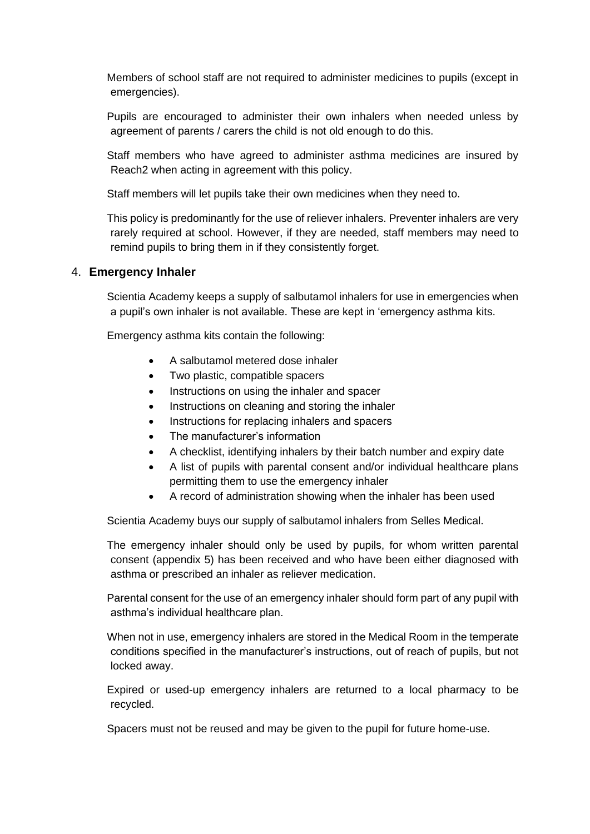Members of school staff are not required to administer medicines to pupils (except in emergencies).

Pupils are encouraged to administer their own inhalers when needed unless by agreement of parents / carers the child is not old enough to do this.

Staff members who have agreed to administer asthma medicines are insured by Reach2 when acting in agreement with this policy.

Staff members will let pupils take their own medicines when they need to.

This policy is predominantly for the use of reliever inhalers. Preventer inhalers are very rarely required at school. However, if they are needed, staff members may need to remind pupils to bring them in if they consistently forget.

#### 4. **Emergency Inhaler**

Scientia Academy keeps a supply of salbutamol inhalers for use in emergencies when a pupil's own inhaler is not available. These are kept in 'emergency asthma kits.

Emergency asthma kits contain the following:

- A salbutamol metered dose inhaler
- Two plastic, compatible spacers
- Instructions on using the inhaler and spacer
- Instructions on cleaning and storing the inhaler
- Instructions for replacing inhalers and spacers
- The manufacturer's information
- A checklist, identifying inhalers by their batch number and expiry date
- A list of pupils with parental consent and/or individual healthcare plans permitting them to use the emergency inhaler
- A record of administration showing when the inhaler has been used

Scientia Academy buys our supply of salbutamol inhalers from Selles Medical.

The emergency inhaler should only be used by pupils, for whom written parental consent (appendix 5) has been received and who have been either diagnosed with asthma or prescribed an inhaler as reliever medication.

Parental consent for the use of an emergency inhaler should form part of any pupil with asthma's individual healthcare plan.

When not in use, emergency inhalers are stored in the Medical Room in the temperate conditions specified in the manufacturer's instructions, out of reach of pupils, but not locked away.

Expired or used-up emergency inhalers are returned to a local pharmacy to be recycled.

Spacers must not be reused and may be given to the pupil for future home-use.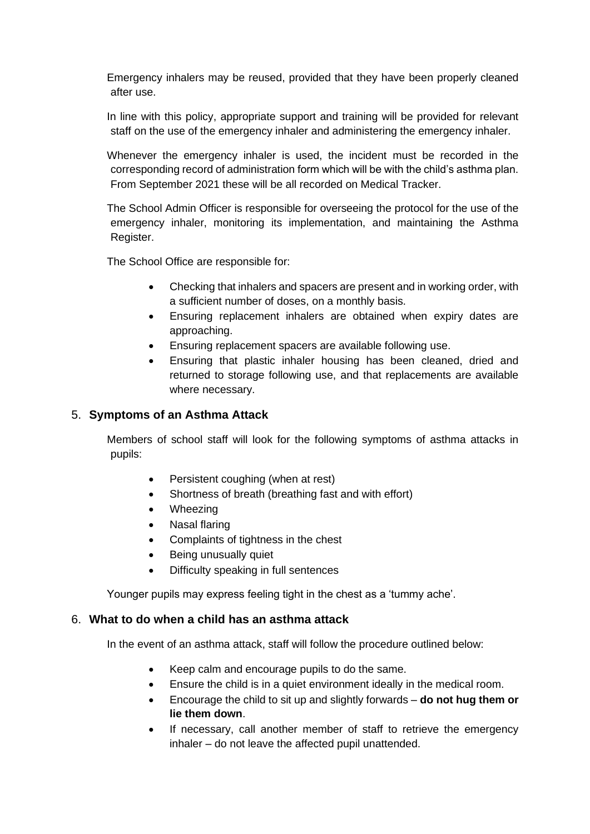Emergency inhalers may be reused, provided that they have been properly cleaned after use.

In line with this policy, appropriate support and training will be provided for relevant staff on the use of the emergency inhaler and administering the emergency inhaler.

Whenever the emergency inhaler is used, the incident must be recorded in the corresponding record of administration form which will be with the child's asthma plan. From September 2021 these will be all recorded on Medical Tracker.

The School Admin Officer is responsible for overseeing the protocol for the use of the emergency inhaler, monitoring its implementation, and maintaining the Asthma Register.

The School Office are responsible for:

- Checking that inhalers and spacers are present and in working order, with a sufficient number of doses, on a monthly basis.
- Ensuring replacement inhalers are obtained when expiry dates are approaching.
- Ensuring replacement spacers are available following use.
- Ensuring that plastic inhaler housing has been cleaned, dried and returned to storage following use, and that replacements are available where necessary.

#### 5. **Symptoms of an Asthma Attack**

Members of school staff will look for the following symptoms of asthma attacks in pupils:

- Persistent coughing (when at rest)
- Shortness of breath (breathing fast and with effort)
- Wheezing
- Nasal flaring
- Complaints of tightness in the chest
- Being unusually quiet
- Difficulty speaking in full sentences

Younger pupils may express feeling tight in the chest as a 'tummy ache'.

#### 6. **What to do when a child has an asthma attack**

In the event of an asthma attack, staff will follow the procedure outlined below:

- Keep calm and encourage pupils to do the same.
- Ensure the child is in a quiet environment ideally in the medical room.
- Encourage the child to sit up and slightly forwards **do not hug them or lie them down**.
- If necessary, call another member of staff to retrieve the emergency inhaler – do not leave the affected pupil unattended.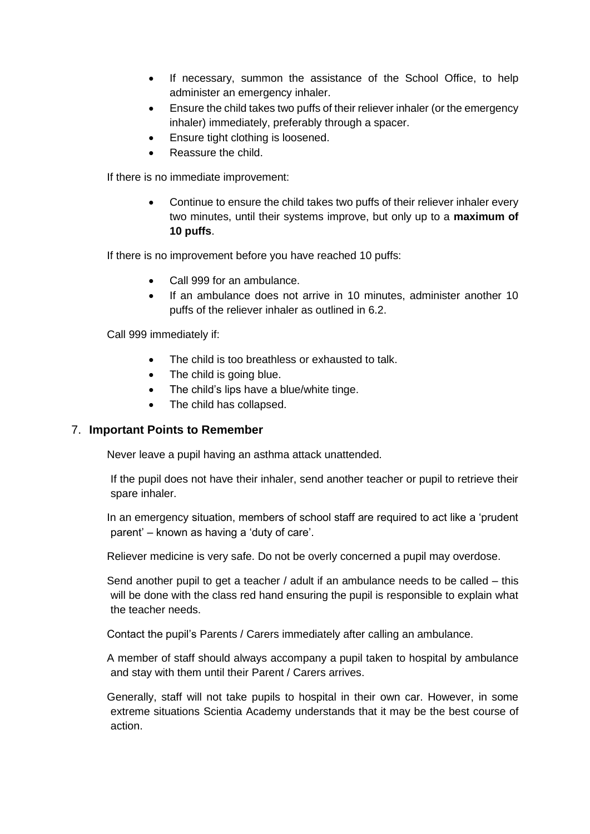- If necessary, summon the assistance of the School Office, to help administer an emergency inhaler.
- Ensure the child takes two puffs of their reliever inhaler (or the emergency inhaler) immediately, preferably through a spacer.
- Ensure tight clothing is loosened.
- Reassure the child.

If there is no immediate improvement:

• Continue to ensure the child takes two puffs of their reliever inhaler every two minutes, until their systems improve, but only up to a **maximum of 10 puffs**.

If there is no improvement before you have reached 10 puffs:

- Call 999 for an ambulance.
- If an ambulance does not arrive in 10 minutes, administer another 10 puffs of the reliever inhaler as outlined in 6.2.

Call 999 immediately if:

- The child is too breathless or exhausted to talk.
- The child is going blue.
- The child's lips have a blue/white tinge.
- The child has collapsed.

#### 7. **Important Points to Remember**

Never leave a pupil having an asthma attack unattended.

If the pupil does not have their inhaler, send another teacher or pupil to retrieve their spare inhaler.

In an emergency situation, members of school staff are required to act like a 'prudent parent' – known as having a 'duty of care'.

Reliever medicine is very safe. Do not be overly concerned a pupil may overdose.

Send another pupil to get a teacher / adult if an ambulance needs to be called – this will be done with the class red hand ensuring the pupil is responsible to explain what the teacher needs.

Contact the pupil's Parents / Carers immediately after calling an ambulance.

A member of staff should always accompany a pupil taken to hospital by ambulance and stay with them until their Parent / Carers arrives.

Generally, staff will not take pupils to hospital in their own car. However, in some extreme situations Scientia Academy understands that it may be the best course of action.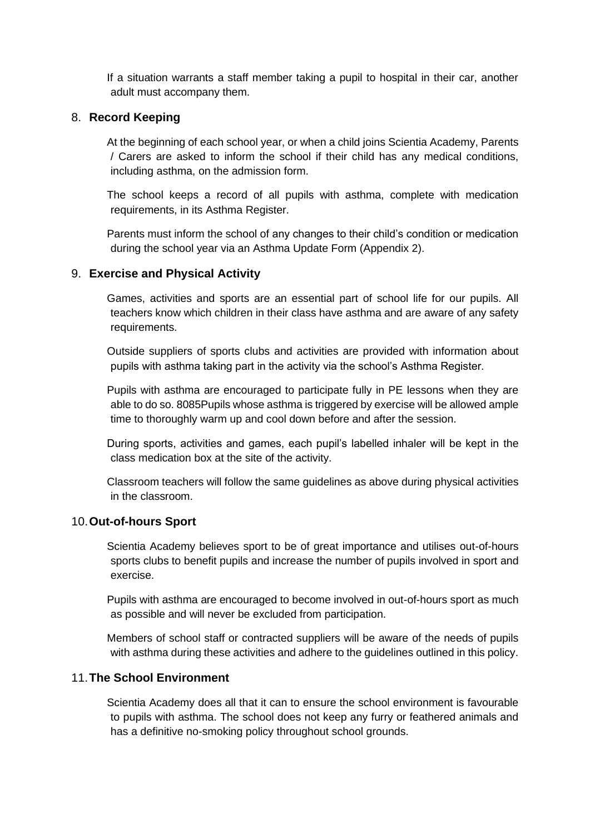If a situation warrants a staff member taking a pupil to hospital in their car, another adult must accompany them.

#### 8. **Record Keeping**

At the beginning of each school year, or when a child joins Scientia Academy, Parents / Carers are asked to inform the school if their child has any medical conditions, including asthma, on the admission form.

The school keeps a record of all pupils with asthma, complete with medication requirements, in its Asthma Register.

Parents must inform the school of any changes to their child's condition or medication during the school year via an Asthma Update Form (Appendix 2).

#### 9. **Exercise and Physical Activity**

Games, activities and sports are an essential part of school life for our pupils. All teachers know which children in their class have asthma and are aware of any safety requirements.

Outside suppliers of sports clubs and activities are provided with information about pupils with asthma taking part in the activity via the school's Asthma Register.

Pupils with asthma are encouraged to participate fully in PE lessons when they are able to do so. 8085Pupils whose asthma is triggered by exercise will be allowed ample time to thoroughly warm up and cool down before and after the session.

During sports, activities and games, each pupil's labelled inhaler will be kept in the class medication box at the site of the activity.

Classroom teachers will follow the same guidelines as above during physical activities in the classroom.

#### 10.**Out-of-hours Sport**

Scientia Academy believes sport to be of great importance and utilises out-of-hours sports clubs to benefit pupils and increase the number of pupils involved in sport and exercise.

Pupils with asthma are encouraged to become involved in out-of-hours sport as much as possible and will never be excluded from participation.

Members of school staff or contracted suppliers will be aware of the needs of pupils with asthma during these activities and adhere to the guidelines outlined in this policy.

#### 11.**The School Environment**

Scientia Academy does all that it can to ensure the school environment is favourable to pupils with asthma. The school does not keep any furry or feathered animals and has a definitive no-smoking policy throughout school grounds.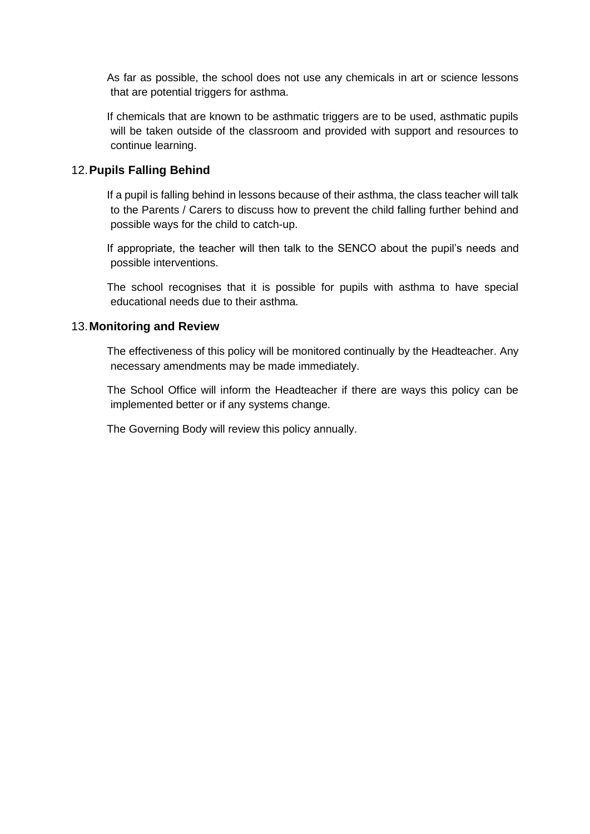As far as possible, the school does not use any chemicals in art or science lessons that are potential triggers for asthma.

If chemicals that are known to be asthmatic triggers are to be used, asthmatic pupils will be taken outside of the classroom and provided with support and resources to continue learning.

#### 12.**Pupils Falling Behind**

If a pupil is falling behind in lessons because of their asthma, the class teacher will talk to the Parents / Carers to discuss how to prevent the child falling further behind and possible ways for the child to catch-up.

If appropriate, the teacher will then talk to the SENCO about the pupil's needs and possible interventions.

The school recognises that it is possible for pupils with asthma to have special educational needs due to their asthma.

#### 13.**Monitoring and Review**

The effectiveness of this policy will be monitored continually by the Headteacher. Any necessary amendments may be made immediately.

The School Office will inform the Headteacher if there are ways this policy can be implemented better or if any systems change.

The Governing Body will review this policy annually.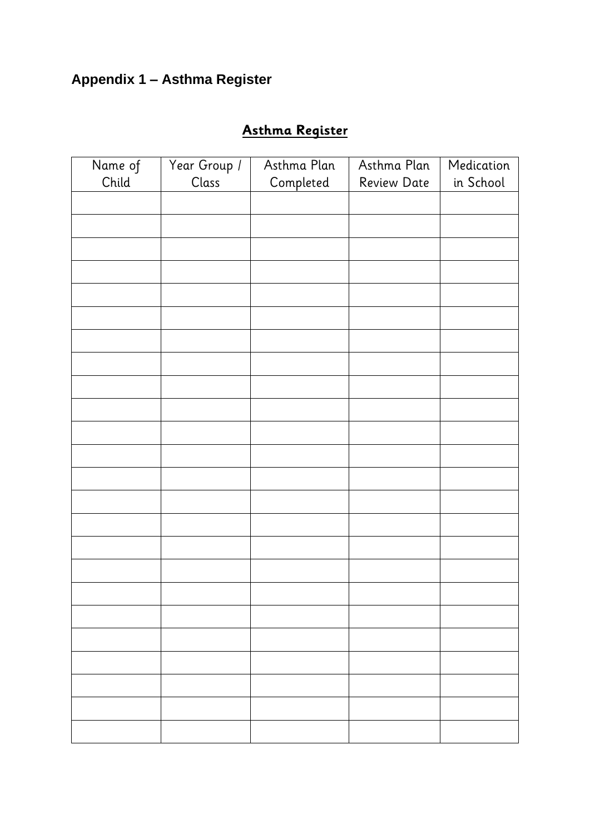# **Appendix 1 – Asthma Register**

# **Asthma Register**

| Name of | Year Group / | Asthma Plan | Asthma Plan        | Medication |
|---------|--------------|-------------|--------------------|------------|
| Child   | Class        | Completed   | <b>Review Date</b> | in School  |
|         |              |             |                    |            |
|         |              |             |                    |            |
|         |              |             |                    |            |
|         |              |             |                    |            |
|         |              |             |                    |            |
|         |              |             |                    |            |
|         |              |             |                    |            |
|         |              |             |                    |            |
|         |              |             |                    |            |
|         |              |             |                    |            |
|         |              |             |                    |            |
|         |              |             |                    |            |
|         |              |             |                    |            |
|         |              |             |                    |            |
|         |              |             |                    |            |
|         |              |             |                    |            |
|         |              |             |                    |            |
|         |              |             |                    |            |
|         |              |             |                    |            |
|         |              |             |                    |            |
|         |              |             |                    |            |
|         |              |             |                    |            |
|         |              |             |                    |            |
|         |              |             |                    |            |
|         |              |             |                    |            |
|         |              |             |                    |            |
|         |              |             |                    |            |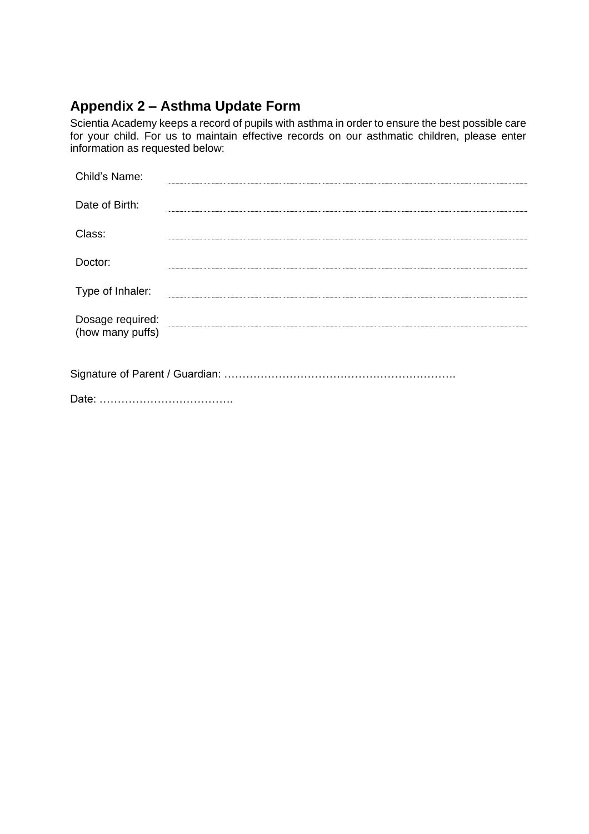# **Appendix 2 – Asthma Update Form**

Scientia Academy keeps a record of pupils with asthma in order to ensure the best possible care for your child. For us to maintain effective records on our asthmatic children, please enter information as requested below:

| Child's Name:                        |  |
|--------------------------------------|--|
| Date of Birth:                       |  |
| Class:                               |  |
| Doctor:                              |  |
| Type of Inhaler:                     |  |
| Dosage required:<br>(how many puffs) |  |
|                                      |  |

Date: ……………………………….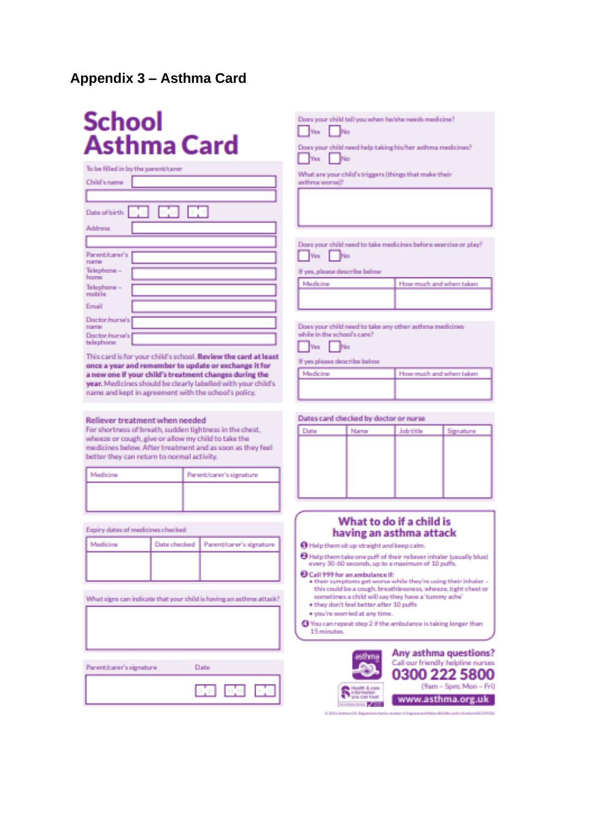### **Appendix 3 – Asthma Card**

# **School Asthma Card**

| to be filled in by the parent/carer |
|-------------------------------------|
| Child's name                        |
|                                     |
| Date of birth <b>1940 1943 1949</b> |
| Address                             |
|                                     |
| Panent/carer's<br><b>DUSTER</b>     |
| Telephane -<br>home                 |
| Telephane -<br>mobile               |
| Errusil                             |
| Doctor/hurse's [<br><b>DUSTER</b>   |
| Doctor/hunse's l<br>telephone       |
|                                     |

This card is for your child's school. Review the card at least once a year and remember to update or exchange it for a new one if your child's treatment changes during the year. Medicines should be clearly labelled with your child's name and kept in agreement with the school's policy.

#### Reliever treatment when needed

For shortness of breath, sudden tightness in the chest, wheeze or cough, give or allow my child to take the medicines below. After treatment and as soon as they feel better they can return to normal activity.

| <i><b>Medicine</b></i> | Parent/carer's signature |
|------------------------|--------------------------|
|                        |                          |
|                        |                          |

Expiry dates of medicines checked

| Andicina | Date checked   Parent/carer's signature |
|----------|-----------------------------------------|
|          |                                         |
|          |                                         |

What signs can indicate that your child is having an asthma attack?





|           |  |  | Soes your child tell you when he/she needs medicine? |
|-----------|--|--|------------------------------------------------------|
| Turk Film |  |  |                                                      |

Yes | No

Does your child need help taking his/her asthma medicines? Wes No

What are your child's triggers (things that make their asthma worse)?

Does your child need to take medicines before exercise or play?  $\Box$ Yes  $\Box$ No

If yes, please describe below

| How much and when taken |
|-------------------------|
|                         |

Does your child need to take any other asthma medicines while in the school's care?

 $\Box$ Yes  $\Box$ No

If yes please describe below Medicine How much and when taken

Dates card checked by doctor or nurse



#### What to do if a child is having an asthma attack

O Help them sit up straight and keep calm.

O Help them take one puff of their reliever inhaler (usually blue)

every 30-60 seconds, up to a maximum of 10 puffs. Call 999 for an ambulance if:

- . their symptoms get worse while they're using their inhaler this could be a cough, breathlessness, wheeze, tight chest or sometimes a child will say they have a 'tumny ache'
- . they don't feel better after 10 puffs
- · you're worried at any time.

@ You can repeat step 2 if the ambulance is taking longer than 15 minutes.

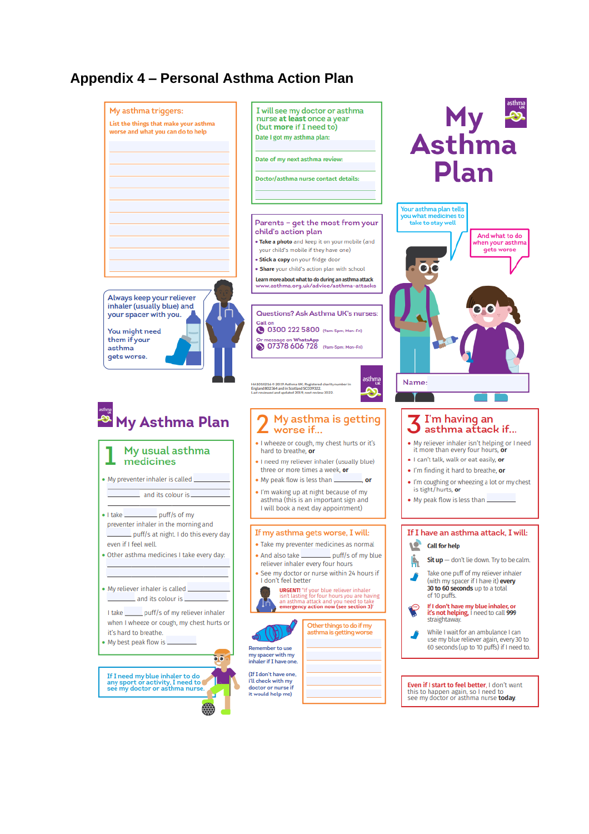## **Appendix 4 – Personal Asthma Action Plan**